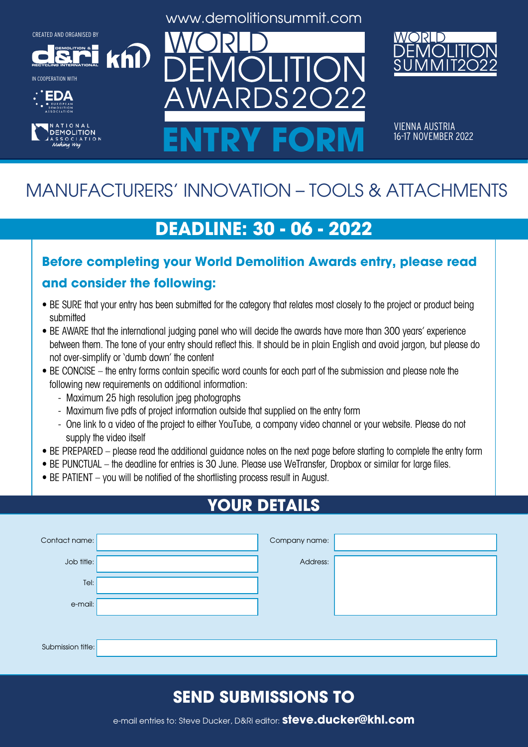**DEMOLITION &**

khl







**DEMOLITION** 

www.demolitionsummit.com



VIENNA AUSTRIA<br>16-17 NOVEMBER 2022 ENTRY FORM **16-17 NOVEMBER 2022** 

# MANUFACTURERS' INNOVATION – TOOLS & ATTACHMENTS

## **DEADLINE: 30 - 06 - 2022**

#### **Before completing your World Demolition Awards entry, please read and consider the following:**

- BE SURE that your entry has been submitted for the category that relates most closely to the project or product being submitted
- BE AWARE that the international judging panel who will decide the awards have more than 300 years' experience between them. The tone of your entry should reflect this. It should be in plain English and avoid jargon, but please do not over-simplify or 'dumb down' the content
- BE CONCISE the entry forms contain specific word counts for each part of the submission and please note the following new requirements on additional information:
	- Maximum 25 high resolution jpeg photographs
	- Maximum five pdfs of project information outside that supplied on the entry form
	- One link to a video of the project to either YouTube, a company video channel or your website. Please do not supply the video itself
- BE PREPARED please read the additional guidance notes on the next page before starting to complete the entry form
- BE PUNCTUAL the deadline for entries is 30 June. Please use WeTransfer, Dropbox or similar for large files.
- BE PATIENT you will be notified of the shortlisting process result in August.

## **YOUR DETAILS**

| Contact name:     | Company name: |  |
|-------------------|---------------|--|
| Job title:        | Address:      |  |
| Tel:              |               |  |
| e-mail:           |               |  |
|                   |               |  |
| Submission title: |               |  |

## **SEND SUBMISSIONS TO**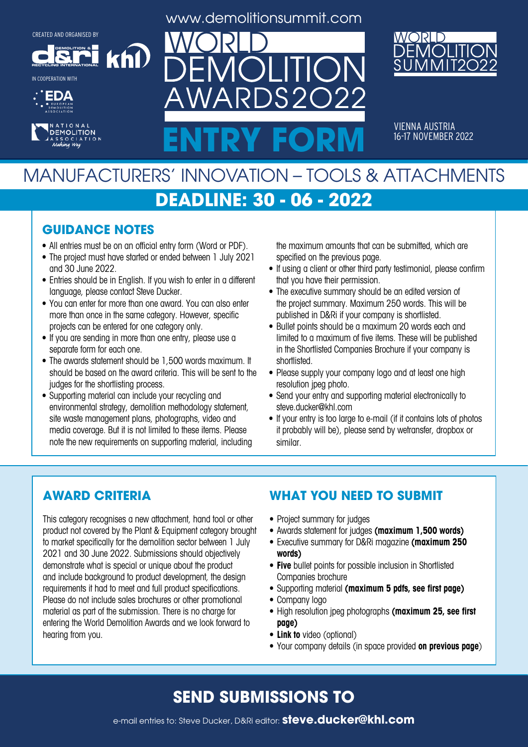**DEMOLITION &**

khl

**RECYCLING INTERNATIONAL** IN COOPERATION WITH





www.demolitionsummit.com

 $S2$ 



VIENNA AUSTRIA<br>16-17 NOVEMBER 2022 ENTRY FORM **16-17 NOVEMBER 2022** 

## MANUFACTURERS' INNOVATION – TOOLS & ATTACHMENTS **DEADLINE: 30 - 06 - 2022**

#### **GUIDANCE NOTES**

- All entries must be on an official entry form (Word or PDF).
- The project must have started or ended between 1 July 2021 and 30 June 2022.
- Entries should be in English. If you wish to enter in a different language, please contact Steve Ducker.
- You can enter for more than one award. You can also enter more than once in the same category. However, specific projects can be entered for one category only.
- If you are sending in more than one entry, please use a separate form for each one.
- The awards statement should be 1,500 words maximum. It should be based on the award criteria. This will be sent to the judges for the shortlisting process.
- Supporting material can include your recycling and environmental strategy, demolition methodology statement, site waste management plans, photographs, video and media coverage. But it is not limited to these items. Please note the new requirements on supporting material, including

the maximum amounts that can be submitted, which are specified on the previous page.

- If using a client or other third party testimonial, please confirm that you have their permission.
- The executive summary should be an edited version of the project summary. Maximum 250 words. This will be published in D&Ri if your company is shortlisted.
- Bullet points should be a maximum 20 words each and limited to a maximum of five items. These will be published in the Shortlisted Companies Brochure if your company is shortlisted.
- Please supply your company logo and at least one high resolution jpeg photo.
- Send your entry and supporting material electronically to steve.ducker@khl.com
- If your entry is too large to e-mail (if it contains lots of photos it probably will be), please send by wetransfer, dropbox or similar.

#### **AWARD CRITERIA**

This category recognises a new attachment, hand tool or other product not covered by the Plant & Equipment category brought to market specifically for the demolition sector between 1 July 2021 and 30 June 2022. Submissions should objectively demonstrate what is special or unique about the product and include background to product development, the design requirements it had to meet and full product specifications. Please do not include sales brochures or other promotional material as part of the submission. There is no charge for entering the World Demolition Awards and we look forward to hearing from you.

#### **WHAT YOU NEED TO SUBMIT**

- Project summary for judges
- • Awards statement for judges **(maximum 1,500 words)**
- • Executive summary for D&Ri magazine **(maximum 250 words)**
- **• Five** bullet points for possible inclusion in Shortlisted Companies brochure
- • Supporting material **(maximum 5 pdfs, see first page)**
- Company logo
- • High resolution jpeg photographs **(maximum 25, see first page)**
- **• Link to** video (optional)
- • Your company details (in space provided **on previous page**)

#### **SEND SUBMISSIONS TO**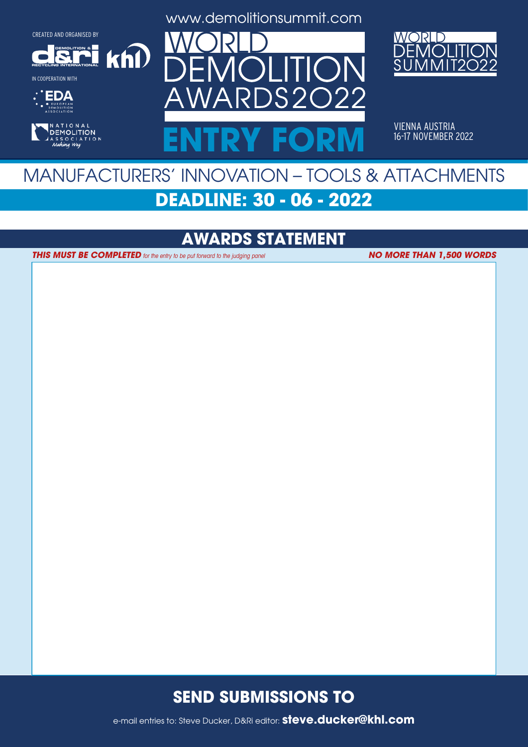**DEMOLITION &**

 $k$ h $\Omega$ 

**RECYCLING INTERNATIONAL**

IN COOPERATION WITH





www.demolitionsummit.com



VIENNA AUSTRIA<br>16-17 NOVEMBER 2022 ENTRY FORM **16-17 NOVEMBER 2022** 

## MANUFACTURERS' INNOVATION – TOOLS & ATTACHMENTS **DEADLINE: 30 - 06 - 2022**

## **AWARDS STATEMENT**

**THIS MUST BE COMPLETED** for the entry to be put forward to the judging panel

**NO MORE THAN 1,500 WORDS**

#### **SEND SUBMISSIONS TO**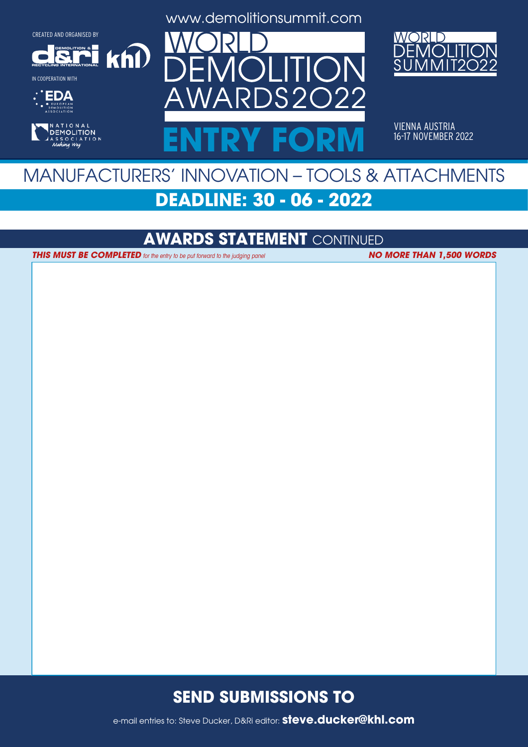**DEMOLITION &**

**RECYCLING INTERNATIONAL** IN COOPERATION WITH





www.demolitionsummit.com



VIENNA AUSTRIA<br>16-17 NOVEMBER 2022 ENTRY FORM **16-17 NOVEMBER 2022** 

## MANUFACTURERS' INNOVATION – TOOLS & ATTACHMENTS **DEADLINE: 30 - 06 - 2022**

#### **AWARDS STATEMENT** CONTINUED

**THIS MUST BE COMPLETED** for the entry to be put forward to the judging panel **NO MORE THAN 1,500 WORDS** 

 $k$ h $\Omega$ 

#### **SEND SUBMISSIONS TO**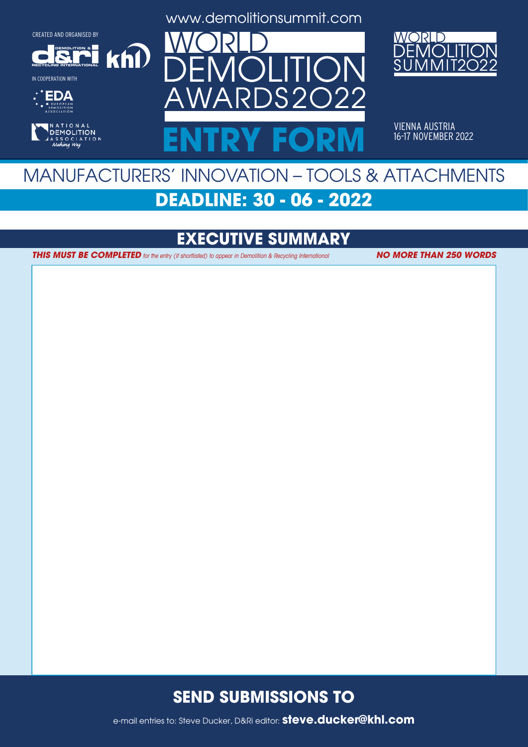**DEMOLITION &**

 $k$ h $\Omega$ 

**RECYCLING INTERNATIONAL**

IN COOPERATION WITH





www.demolitionsummit.com



VIENNA AUSTRIA<br>16-17 NOVEMBER 2022 ENTRY FORM **16-17 NOVEMBER 2022** 

## MANUFACTURERS' INNOVATION – TOOLS & ATTACHMENTS **DEADLINE: 30 - 06 - 2022**

## **EXECUTIVE SUMMARY**

**THIS MUST BE COMPLETED** for the entry (if shortlisted) to appear in Demolition & Recycling International **NO MORE THAN 250 WORDS** 

#### **SEND SUBMISSIONS TO**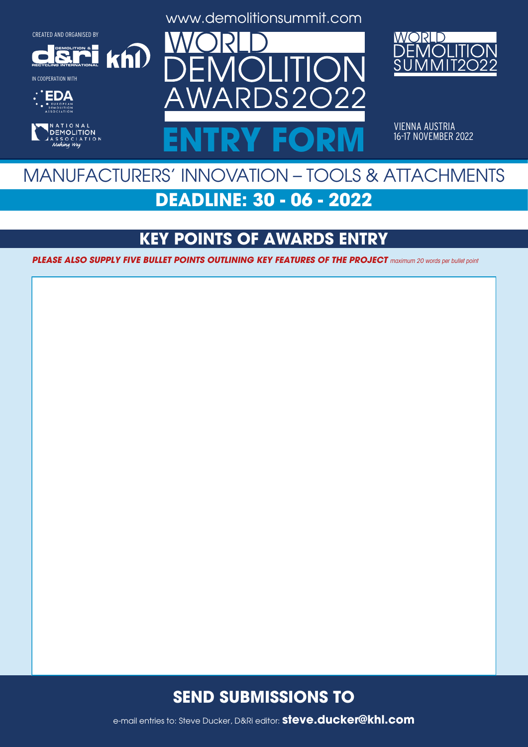

 $k$ h $\Omega$ 

IN COOPERATION WITH





www.demolitionsummit.com



VIENNA AUSTRIA<br>16-17 NOVEMBER 2022 ENTRY FORM **16-17 NOVEMBER 2022** 

## MANUFACTURERS' INNOVATION – TOOLS & ATTACHMENTS **DEADLINE: 30 - 06 - 2022**

## **KEY POINTS OF AWARDS ENTRY**

**PLEASE ALSO SUPPLY FIVE BULLET POINTS OUTLINING KEY FEATURES OF THE PROJECT** maximum 20 words per bullet point

#### **SEND SUBMISSIONS TO**